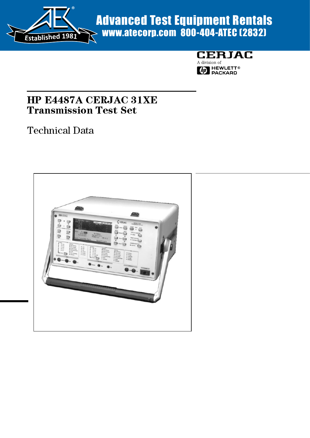

# Advanced Test Equipment Rentals www.atecorp.com 800-404-ATEC (2832)



# HP E4487A CERJAC 31XE Transmission Test Set

# Technical Data

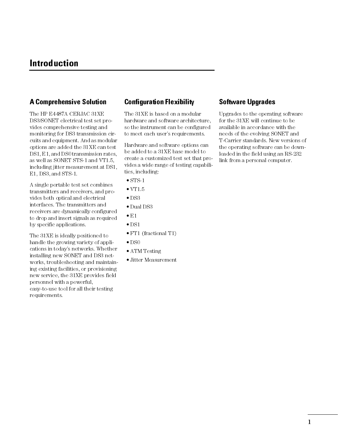# Introduction

### A Comprehensive Solution

The HP E4487A CERJAC 31XE DS3/SONET electrical test set provides comprehensive testing and monitoring for DS3 transmission circuits and equipment. And as modular options are added the 31XE can test DS1, E1, and DS0 transmission rates, as well as SONET STS-1 and VT1.5, including jitter measurement at DS1, E1, DS3, and STS-1.

A single portable test set combines transmitters and receivers, and provides both optical and electrical interfaces. The transmitters and receivers are dynamically configured to drop and insert signals as required by specific applications.

The 31XE is ideally positioned to handle the growing variety of applications in todays networks. Whether installing new SONET and DS3 networks, troubleshooting and maintaining existing facilities, or provisioning new service, the 31XE provides field personnel with a powerful, easy-to-use tool for all their testing requirements.

### Configuration Flexibility

The 31XE is based on a modular hardware and software architecture, so the instrument can be configured to meet each user's requirements.

Hardware and software options can be added to a 31XE base model to create a customized test set that provides a wide range of testing capabilities, including:

- $\bullet$  STS-1
- $\bullet$  VT1.5
- $\bullet$  DS3
- Dual DS3
- $\bullet$  E1
- $\bullet$  DS1
- FT1 (fractional T1)
- $\bullet$  DS0
- ATM Testing
- Jitter Measurement

### Software Upgrades

Upgrades to the operating software for the 31XE will continue to be available in accordance with the needs of the evolving SONET and T-Carrier standards. New versions of the operating software can be downloaded in the field using an RS-232 link from a personal computer.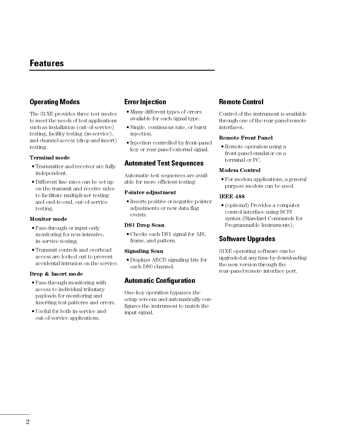# Features

## Operating Modes

The 31XE provides three test modes to meet the needs of test applications such as installation (out-of-service) testing, facility testing (in-service), and channel access (drop and insert) testing.

#### Terminal mode

- Transmitter and receiver are fully independent.
- Different line rates can be set up on the transmit and receive sides to facilitate multiplexer testing and end-to-end, out-of-service testing.

#### Monitor mode

- Pass-through or input-only monitoring for non-intrusive, in-service testing.
- Transmit controls and overhead access are locked out to prevent accidental intrusion on the service.

#### Drop & Insert mode

- Pass-through monitoring with access to individual tributary payloads for monitoring and inserting test patterns and errors.
- Useful for both in-service and out-of-service applications.

### Error Injection

- Many different types of errors available for each signal type.
- Single, continuous rate, or burst injection.
- Injection controlled by front-panel key or rear-panel external signal.

### Automated Test Sequences

Automatic test sequences are available for more efficient testing:

#### Pointer adjustment

• Inserts positive or negative pointer adjustments or new data flag events.

#### DS1 Drop Scan

 Checks each DS1 signal for AIS, frame, and pattern.

#### Signaling Scan

 Displays ABCD signaling bits for each DS0 channel.

### Automatic Configuration

One-key operation bypasses the setup screens and automatically configures the instrument to match the input signal.

### Remote Control

Control of the instrument is available through one of the rear-panel remote interfaces.

#### Remote Front Panel

• Remote operation using a front-panel emulator on a terminal or PC.

#### Modem Control

 For modem applications, a general purpose modem can be used.

#### IEEE-488

 (optional) Provides a computer control interface using SCPI syntax (Standard Commands for Programmable Instruments).

### Software Upgrades

31XE operating software can be upgraded at any time by downloading the new version through the rear-panel remote interface port.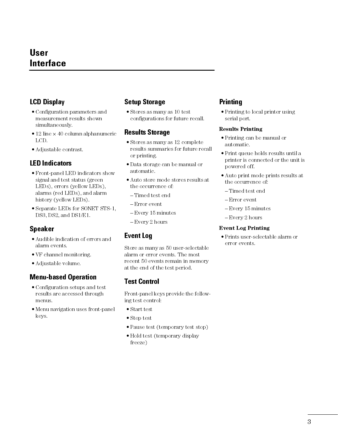# User **Interface**

# LCD Display

- Configuration parameters and measurement results shown simultaneously.
- $\bullet$  12 line  $\times$  40 column alphanumeric LCD.
- Adjustable contrast.

### LED Indicators

- Front-panel LED indicators show signal and test status (green LEDs), errors (yellow LEDs), alarms (red LEDs), and alarm history (yellow LEDs).
- Separate LEDs for SONET STS-1, DS3, DS2, and DS1/E1.

# Speaker

- Audible indication of errors and alarm events.
- VF channel monitoring.
- Adjustable volume.

## Menu-based Operation

- Configuration setups and test results are accessed through menus.
- Menu navigation uses front-panel keys.

# Setup Storage

 Stores as many as 10 test configurations for future recall.

### Results Storage

- Stores as many as 12 complete results summaries for future recall or printing.
- Data storage can be manual or automatic.
- Auto store mode stores results at the occurrence of:
	- -Timed test end
- Error event
- Every 15 minutes
- Every 2 hours

## Event Log

Store as many as 50 user-selectable alarm or error events. The most recent 50 events remain in memory at the end of the test period.

# Test Control

Front-panel keys provide the following test control:

- Start test
- Stop test
- Pause test (temporary test stop)
- Hold test (temporary display freeze)

### Printing

• Printing to local printer using serial port.

### Results Printing

- Printing can be manual or automatic.
- Print queue holds results until a printer is connected or the unit is powered off.
- Auto print mode prints results at the occurrence of:
	- -Timed test end
- Error event
- Every 15 minutes
- Every 2 hours

### Event Log Printing

 Prints user-selectable alarm or error events.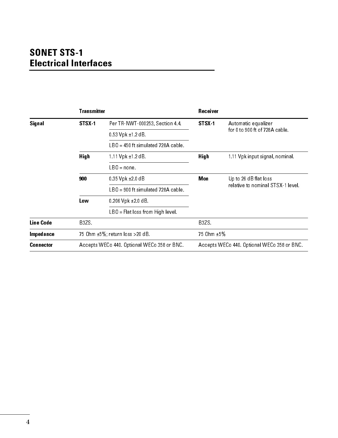# SONET STS-1 Electrical Interfaces

|                  | <b>Transmitter</b> |                                             | <b>Receiver</b> |                                             |
|------------------|--------------------|---------------------------------------------|-----------------|---------------------------------------------|
| Signal           | STSX-1             | Per TR-NWT-000253, Section 4.4.             | STSX-1          | Automatic equalizer                         |
|                  |                    | $0.53$ Vpk $\pm$ 1 2 dB.                    |                 | for 0 to 900 ft of 728 A cable.             |
|                  |                    | $LBO = 450$ ft simulated 728A cable.        |                 |                                             |
|                  | <b>High</b>        | $1.11$ $V$ pk $\pm$ 1.2 d B.                | <b>High</b>     | 1.11 Vpk input signal, nominal.             |
|                  |                    | $LBO = none.$                               |                 |                                             |
|                  | 900                | $0.35$ $V$ pk $\pm 2.0$ dB                  | Mon             | Up to 26 dB flat loss                       |
|                  |                    | LBO = 900 ftsimulated 728A cable.           |                 | relative to nominal STSX-1 level.           |
|                  | Lo w               | $0.206$ Vpk $\pm 2.0$ dB                    |                 |                                             |
|                  |                    | $LBO = Flatloss from High level.$           |                 |                                             |
| <b>Line Code</b> | B3ZS.              |                                             | B3ZS.           |                                             |
| Impedance        |                    | 75 Ohm ±5%; return loss >20 dB.             | 75 0hm ±5%      |                                             |
| <b>Connector</b> |                    | Accepts WECo 440. Optional WECo 358 or BNC. |                 | Accepts WECo 440. Optional WECo 358 or BNC. |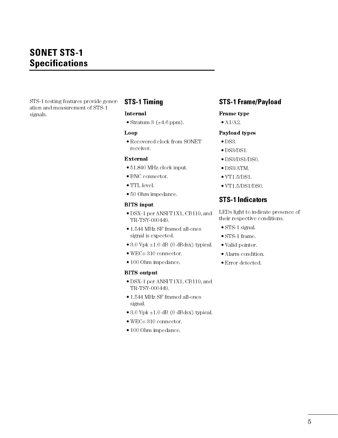STS-1 testing features provide generation and measurement of STS-1 signals.

# STS-1 Timing

#### Internal

• Stratum 3 ( $\pm 4.6$  ppm).

#### Loop

 Recovered clock from SONET receiver.

#### External

- 51.840 MHz clock input.
- BNC connector.
- TTL level.
- 50 Ohm impedance.

#### BITS input

- DSX-1 per ANSI T1X1, CB119, and TR-TSY-000449.
- 1.544 MHz SF framed all-ones signal is expected.
- $\bullet$  3.0 Vpk  $\pm$ 1.0 dB (0 dBdsx) typical.
- WECo 310 connector.
- 100 Ohm impedance.

#### BITS output

- DSX-1 per ANSI T1X1, CB119, and TR-TSY-000449.
- 1.544 MHz SF framed all-ones signal.
- $\bullet$  3.0 Vpk  $\pm$ 1.0 dB (0 dBdsx) typical.
- WECo 310 connector.
- 100 Ohm impedance.

### STS-1 Frame/Payload

#### Frame type

 $\bullet$  A<sub>1</sub>/A<sub>2</sub>.

#### Payload types

- $\bullet$  DS3.
- DS3/DS1.
- DS3/DS1/DS0.
- DS3/ATM.
- $\bullet$  VT1.5/DS1.
- VT1.5/DS1/DS0.

### STS-1 Indicators

LEDs light to indicate presence of their respective conditions.

- STS-1 signal.
- STS-1 frame.
- Valid pointer.
- Alarm condition.
- Error detected.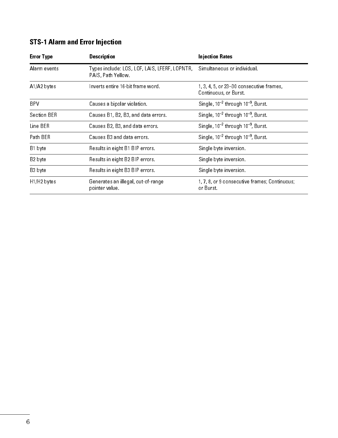# STS-1 Alarm and Error Injection

| <b>Error Type</b>                                                                                         | <b>Description</b>                                                                              | <b>Injection Rates</b>                                           |  |
|-----------------------------------------------------------------------------------------------------------|-------------------------------------------------------------------------------------------------|------------------------------------------------------------------|--|
| Alarm events                                                                                              | Types include: LOS, LOF, LAIS, LFERF, LOPNTR, Simultaneous or individual.<br>PAIS, Path Yellow. |                                                                  |  |
| $A1/A2$ bytes                                                                                             | Inverts entire 16-bit frame word.                                                               | 1, 3, 4, 5, or 23-30 consecutive frames,<br>Continuous, or Burst |  |
| <b>BPV</b>                                                                                                | Causes a bipolar violation.                                                                     | Single, $10^{-2}$ through $10^{-9}$ , Burst.                     |  |
| Section BER                                                                                               | Causes B1, B2, B3, and data errors.                                                             | Single, $10^{-2}$ through $10^{-9}$ , Burst                      |  |
| Line BER                                                                                                  | Causes B2, B3, and data errors.                                                                 | Single, $10^{-2}$ through $10^{-9}$ , Burst                      |  |
| Path BER                                                                                                  | Causes B3 and data errors.                                                                      | Single, $10^{-2}$ through $10^{-9}$ , Burst                      |  |
| B1 byte                                                                                                   | Results in eight B1 BIP errors.                                                                 | Single byte inversion.                                           |  |
| B2 byte                                                                                                   | Results in eight B2 BIP errors.                                                                 | Single byte inversion.                                           |  |
| B3 byte                                                                                                   | Results in eight B3 BIP errors.                                                                 | Single byte inversion.                                           |  |
| H <sub>1</sub> /H <sub>2</sub> bytes<br>Generates an illegal, out-of-range<br>or Burst.<br>pointer value. |                                                                                                 | 1, 7, 8, or 9 consecutive frames; Continuous;                    |  |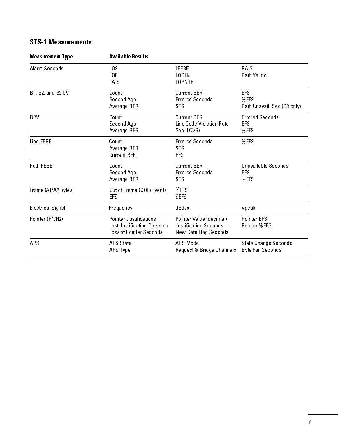# STS-1 Measurements

| <b>Measurement Type</b> | <b>Available Results</b>                                                          |                                                                           |                                                   |  |
|-------------------------|-----------------------------------------------------------------------------------|---------------------------------------------------------------------------|---------------------------------------------------|--|
| Alarm Seconds           | LOS<br>LOF<br>LAIS                                                                | LFERF<br><b>LOCLK</b><br><b>LOPNTR</b>                                    | PAIS<br>Path Yellow                               |  |
| B1, B2, and B3 CV       | Count<br>Second Ago<br>Average BER                                                | Current BER<br><b>Errored Seconds</b><br>SES                              | <b>EFS</b><br>%EFS<br>Path Unavail. Sec (B3 only) |  |
| <b>BPV</b>              | Count<br>Second Ago<br>Average BER                                                | Current BER<br>Line Code Violation Rate<br>Sec (LCVR)                     | <b>Errored Seconds</b><br>EFS<br>%EFS             |  |
| Line FFBF               | Count<br>Average BER<br><b>Current BER</b>                                        | <b>Errored Seconds</b><br>SES<br>EFS                                      | %EFS                                              |  |
| Path FEBE               | Count<br>Second Ago<br>Average BER                                                | <b>Current BER</b><br><b>Errored Seconds</b><br>SES                       | Unavailable Seconds<br><b>EFS</b><br>%EFS         |  |
| Frame (A1/A2 bytes)     | Out of Frame (OOF) Events<br><b>EFS</b>                                           | %EFS<br><b>SEFS</b>                                                       |                                                   |  |
| Electrical Signal       | Frequency                                                                         | dBdsx                                                                     | Vpeak                                             |  |
| Pointer (H1/H2)         | Pointer Justifications<br>Last Justification Direction<br>Loss of Pointer Seconds | Pointer Value (decimal)<br>Justification Seconds<br>New Data Flag Seconds | Pointer EFS<br>Pointer %EFS                       |  |
| APS                     | APS State<br>APS Type                                                             | APS Mode<br>Request & Bridge Channels                                     | State Change Seconds<br><b>Byte Fail Seconds</b>  |  |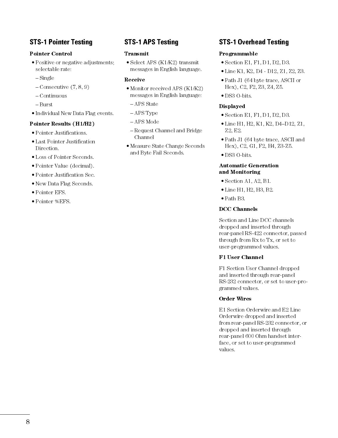# STS-1 Pointer Testing

#### Pointer Control

- Positive or negative adjustments; selectable rate:
- $-Single$
- $-$ Consecutive  $(7, 8, 9)$
- Continuous
- Burst
- Individual New Data Flag events.

#### Pointer Results (H1/H2)

- Pointer Justifications.
- Last Pointer Justification Direction.
- Loss of Pointer Seconds.
- Pointer Value (decimal).
- Pointer Justification Sec.
- New Data Flag Seconds.
- Pointer EFS.
- Pointer %EFS.

# STS-1 APS Testing

#### Transmit

• Select APS (K1/K2) transmit messages in English language.

#### Receive

- Monitor received APS (K1/K2) messages in English language:
- APS State
- APS Type
- APS Mode
- Request Channel and Bridge Channel
- Measure State Change Seconds and Byte Fail Seconds.

## STS-1 Overhead Testing

#### Programmable

- Section E1, F1, D1, D2, D3.
- Line K1, K2, D4 D12, Z1, Z2, Z3.
- Path J1 (64 byte trace, ASCII or Hex), C2, F2, Z3, Z4, Z5.
- DS3 O-bits.

#### Displayed

- Section E1, F1, D1, D2, D3.
- $\bullet$  Line H1, H2, K1, K2, D4-D12, Z1, Z2, E2.
- Path J1 (64 byte trace, ASCII and Hex), C2, G1, F2, H4, Z3-Z5.
- DS3 O-bits.

#### Automatic Generation and Monitoring

- Section A1, A2, B1.
- Line H1, H2, H3, B2.
- Path B3.

#### DCC Channels

Section and Line DCC channels dropped and inserted through rear-panel RS-422 connector, passed through from Rx to Tx, or set to user-programmed values.

#### F1 User Channel

F1 Section User Channel dropped and inserted through rear-panel RS-232 connector, or set to user-programmed values.

#### Order Wires

E1 Section Orderwire and E2 Line Orderwire dropped and inserted from rear-panel RS-232 connector, or dropped and inserted through rear-panel 600 Ohm handset interface, or set to user-programmed values.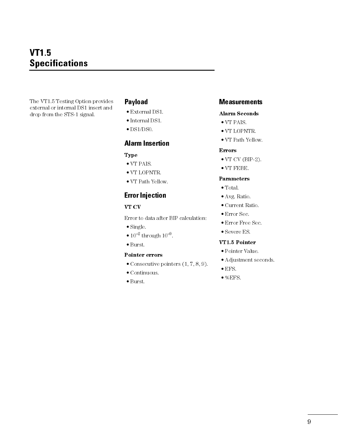# VT1.5 **Specifications**

The VT1.5 Testing Option provides external or internal DS1 insert and drop from the STS-1 signal.

## Payload

- External DS1.
- Internal DS1.
- $\bullet$  DS1/DS0.

### Alarm Insertion

#### Type

- VT PAIS.
- VT LOPNTR.
- VT Path Yellow.

## Error Injection

### VT CV

Error to data after BIP calculation:

- Single.
- $10^{-2}$  through  $10^{-9}$ .
- Burst.

#### Pointer errors

- $\bullet$  Consecutive pointers  $(1, 7, 8, 9)$ .
- Continuous.
- Burst.

### **Measurements**

#### Alarm Seconds

- VT PAIS.
- VT LOPNTR.
- VT Path Yellow.

#### Errors

- $\bullet$  VT CV (BIP-2).
- VT FEBE.

#### Parameters

- Total.
- Avg. Ratio.
- Current Ratio.
- Error Sec.
- Error Free Sec.
- Severe ES.

#### VT1.5 Pointer

- Pointer Value.
- Adjustment seconds.
- EFS.
- $\bullet$  % EFS.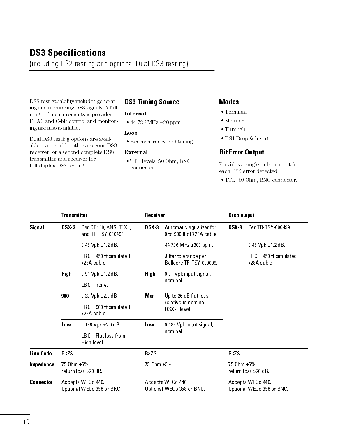# DS3 Specifications

(including DS2 testing and optional Dual DS3 testing)

DS3 test capability includes generating and monitoring DS3 signals. A full range of measurements is provided. FEAC and C-bit control and monitoring are also available.

### Internal 44.736 MHz ±20 ppm.

Dual DS3 testing options are available that provide either a second DS3 receiver, or a second complete DS3 transmitter and receiver for full-duplex DS3 testing.

### Loop

Receiver recovered timing.

DS3 Timing Source

#### External

 TTL levels, 50 Ohm, BNC connector.

#### Modes

- Terminal.
- Monitor.
- Through.
- DS1 Drop & Insert.

### Bit Error Output

Provides a single pulse output for each DS3 error detected.

TTL, 50 Ohm, BNC connector.

|                    | <b>Transmitter</b>                 |                                               |       | Receiver                                              |       | Drop output                                    |  |
|--------------------|------------------------------------|-----------------------------------------------|-------|-------------------------------------------------------|-------|------------------------------------------------|--|
| Signal             | DSX <sub>3</sub>                   | Per CB119, ANSI T1X1,<br>and TR-TSY-000499.   | DSX-3 | Automatic equalizer for<br>0 to 900 ft of 728A cable. | DSX 3 | Per TR-TSY-000499                              |  |
|                    |                                    | $0.48$ Vpk $\pm$ 1 2 dB.                      |       | 44.736 MHz ±300 ppm.                                  |       | $0.48$ Vpk $\pm 1.2$ dB                        |  |
|                    |                                    | $L$ B $0 = 450$ ft simulated<br>728A cable.   |       | Jitter tolerance per<br>Bellcore TR-TSY-000009.       |       | $LBO = 450$ ft simulated<br>728A cable.        |  |
| <b>High</b><br>900 |                                    | $0.91$ Vpk $\pm 1.2$ dB.                      | High  | 0.91 Vpk input signal,                                |       |                                                |  |
|                    |                                    | $LBO = none.$                                 |       | nominal.                                              |       |                                                |  |
|                    |                                    | $0.33$ Vpk $\pm 2.0$ dB                       | Mon   | Up to 26 dB flat loss                                 |       |                                                |  |
|                    |                                    | $LBO = 900$ ft simulated<br>728A cable        |       | relative to nominal<br>DSX-1 level.                   |       |                                                |  |
|                    | Low                                | $0.186$ Vpk $\pm 2.0$ dB                      | Low   | 0.186 Vpk input signal,<br>nominal.                   |       |                                                |  |
|                    |                                    | $IB0 = Flat loss from$<br>High level.         |       |                                                       |       |                                                |  |
| <b>Line Code</b>   | B3ZS.                              |                                               | B3ZS  |                                                       | B3ZS  |                                                |  |
| Impedance          | 75 Ohm ±5%;<br>return loss >20 dB. |                                               |       | 75 0hm ±5%                                            |       | 75 0hm ±5%;<br>return loss >20 dB.             |  |
| <b>Connector</b>   |                                    | Accepts WECo 440<br>Optional WECo 358 or BNC. |       | Accepts WECo 440.<br>Optional WECo 358 or BNC.        |       | Accepts WECo 440.<br>Optional WECo 358 or BNC. |  |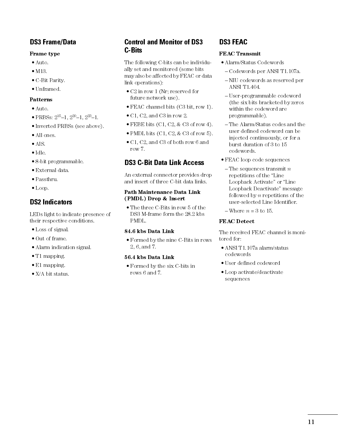# DS3 Frame/Data

### Frame type

- Auto.
- $\bullet$  M13.
- C-Bit Parity.
- Unframed.

### Patterns

- Auto.
- PRBSs:  $2^{15}$ -1,  $2^{20}$ -1,  $2^{23}$ -1.
- Inverted PRBSs (see above).
- All ones.
- AIS.
- Idle.
- 8-bit programmable.
- External data.
- Passthru.
- Loop.

# DS2 Indicators

LEDs light to indicate presence of their respective conditions.

- Loss of signal.
- Out of frame.
- Alarm indication signal.
- T1 mapping.
- E1 mapping.
- X/A bit status.

# Control and Monitor of DS3 C-Bits

The following C-bits can be individually set and monitored (some bits may also be affected by FEAC or data link operations):

- C2 in row 1 (Nr; reserved for future network use).
- FEAC channel bits (C3 bit, row 1).
- C1, C2, and C3 in row 2.
- $\bullet$  FEBE bits (C1, C2, & C3 of row 4).
- PMDL bits  $(C1, C2, \& C3$  of row 5).
- C1, C2, and C3 of both row 6 and row 7.

# DS3 C-Bit Data Link Access

An external connector provides drop and insert of three C-bit data links.

### Path Maintenance Data Link (PMDL) Drop & Insert

 The three C-Bits in row 5 of the DS3 M-frame form the 28.2 kbs PMDL.

### 84.6 kbs Data Link

 Formed by the nine C-Bits in rows 2, 6, and 7.

### 56.4 kbs Data Link

 Formed by the six C-bits in rows 6 and 7.

# DS3 FEAC

### FEAC Transmit

- Alarm/Status Codewords
	- Codewords per ANSI T1.107a.
	- NIU codewords as reserved per ANSI T1.404.
	- User-programmable codeword (the six bits bracketed by zeros within the codeword are programmable).
	- The Alarm/Status codes and the user defined codeword can be injected continuously, or for a burst duration of 3 to 15 codewords.
- FEAC loop code sequences
	- $-$ The sequences transmit  $n$ repetitions of the "Line" Loopback Activate" or "Line Loopback Deactivate" message followed by  $n$  repetitions of the user-selected Line Identifier.
	- $-$ Where  $n = 3$  to 15.

### FEAC Detect

The received FEAC channel is monitored for:

- ANSI T1.107a alarm/status codewords
- User defined codeword
- Loop activate/deactivate sequences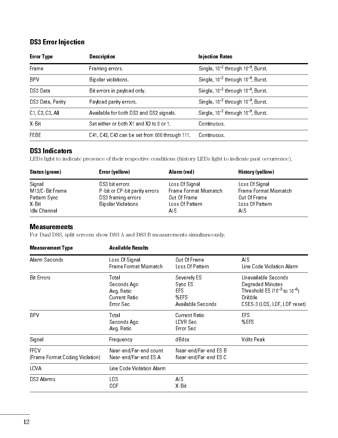# DS3 Error Injection

| <b>Error Type</b>                      | <b>Description</b>                                                  | <b>Injection Rates</b>                       |  |  |
|----------------------------------------|---------------------------------------------------------------------|----------------------------------------------|--|--|
| Frame                                  | Framing errors.                                                     | Single, $10^{-2}$ through $10^{-9}$ , Burst. |  |  |
| <b>BPV</b>                             | Single, $10^{-2}$ through $10^{-9}$ , Burst.<br>Bipolar violations. |                                              |  |  |
| DS3 Data<br>Bit errors in payload only |                                                                     | Single, $10^{-2}$ through $10^{-9}$ , Burst. |  |  |
| DS3 Data, Parity                       | Payload parity errors.                                              | Single, $10^{-2}$ through $10^{-9}$ , Burst  |  |  |
| C1, C2, C3, All                        | Available for both DS3 and DS2 signals.                             | Single, $10^{-2}$ through $10^{-9}$ , Burst. |  |  |
| X Bit                                  | Set either or both X1 and X2 to 0 or 1.                             | Continuous                                   |  |  |
| <b>FEBE</b>                            | C41, C42, C43 can be set from 000 through 111.                      | Continuous.                                  |  |  |

### DS3 Indicators

LEDs light to indicate presence of their respective conditions (history LEDs light to indicate past occurrence).

| Status (green) | Error (yellow)                | Alarm (red)           | History (yellow)      |
|----------------|-------------------------------|-----------------------|-----------------------|
| Signal         | DS3 bit errors                | Loss Of Signal        | Loss Of Signal        |
| M13/C-BitFrame | P-bit or CP-bit parity errors | Frame Format Mismatch | Frame Format Mismatch |
| Pattern Sync   | DS3 framing errors            | Out Of Frame          | Out Of Frame          |
| X Bit          | <b>Bipolar Violations</b>     | Loss Of Pattern       | Loss Of Pattern       |
| Idle Channel   |                               | AIS                   | AIS.                  |

### **Measurements**

For Dual DS3, split screens show DS3 A and DS3 B measurements simultaneously.

| <b>Measurement Type</b>                        | <b>Available Results</b>                                        |                                                            |                                                                                                                             |
|------------------------------------------------|-----------------------------------------------------------------|------------------------------------------------------------|-----------------------------------------------------------------------------------------------------------------------------|
| Alarm Seconds                                  | Loss Of Signal<br>Frame Format Mismatch                         | Out Of Frame<br>Loss Of Pattern                            | AIS.<br>Line Code Violation Alarm                                                                                           |
| <b>Bit Errors</b>                              | Total<br>Seconds Ago<br>Avg Ratio<br>Current Ratio<br>Error Sec | Severely ES<br>Sync ES<br>EFS<br>%EFS<br>Available Seconds | Unavailable Seconds<br>Degraded Minutes<br>Threshold ES $(10^{-3}$ to $10^{-6})$<br>Dribble<br>CSES-3 (LOS, LOF, LOP reset) |
| <b>BPV</b>                                     | Total<br>Seconds Ago<br>Avg Ratio                               | Current Ratio<br>LCVR Sec<br>Error Sec                     | EFS.<br>%EFS                                                                                                                |
| Signal                                         | Frequency                                                       | dBdsx                                                      | Volts Peak                                                                                                                  |
| <b>FFCV</b><br>(Frame Format Coding Violation) | Near-end/Far-end count<br>Near-end/Far-end ES A                 | Near-end/Far-end ES B<br>Near-end/Far-end ES C             |                                                                                                                             |
| LCVA                                           | Line Code Violation Alarm                                       |                                                            |                                                                                                                             |
| DS2 Alarms                                     | LOS<br>00F                                                      | AIS<br>$X$ Bit                                             |                                                                                                                             |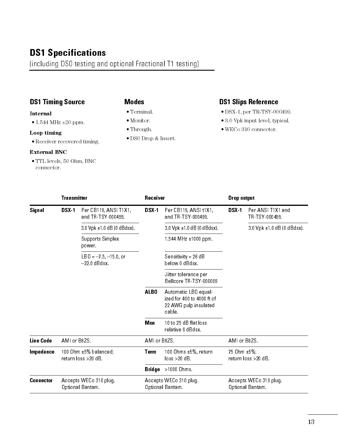# DS1 Specifications

(including DS0 testing and optional Fractional T1 testing)

# DS1 Timing Source

#### Internal

• 1.544 MHz ± 20 ppm.

### Loop timing

Receiver recovered timing.

### External BNC

 TTL levels, 50 Ohm, BNC connector.

### Modes

- Terminal.
- Monitor.
- Through.
- DS0 Drop & Insert.

### DS1 Slips Reference

- DSX-1, per TR-TSY-000499.
- 3.0 Vpk input level, typical.
- WECo 310 connector.

|                  | <b>Transmitter</b> |                                                   | Receiver     |                                                                                       | Drop output  |                                            |
|------------------|--------------------|---------------------------------------------------|--------------|---------------------------------------------------------------------------------------|--------------|--------------------------------------------|
| Signal           | DSX <sub>1</sub>   | Per CB119, ANSI T1X1,<br>and TR-TSY-000499.       | DSX-1        | Per CB119, ANSI t1X1,<br>and TR-TSY-000499.                                           | DSX-1        | Per ANSI T1X1 and<br>TR-TSY-000499         |
|                  |                    | $3.0$ Vpk $\pm 1.0$ dB (0 dBdsx).                 |              | $3.0$ Vpk $\pm 1.0$ dB (0 dBdsx).                                                     |              | $3.0$ Vpk $\pm 1.0$ dB (0 dBdsx).          |
|                  |                    | Supports Simplex<br>power.                        |              | 1.544 MHz $\pm$ 1000 ppm.                                                             |              |                                            |
|                  |                    | $LB0 = -7.5, -15.0,$ or<br>$-22.0$ dBdsx.         |              | Sensitivity = 26 $dB$<br>below 0 dBdsx.                                               |              |                                            |
|                  |                    |                                                   |              | Jitter tolerance per<br>Bellcore TR-TSY-000009                                        |              |                                            |
|                  |                    |                                                   | ALBO         | Automatic LBO equal-<br>ized for 400 to 4000 ft of<br>22 AWG pulp insulated<br>cable. |              |                                            |
|                  |                    |                                                   | Mon          | 10 to 25 dB flat loss<br>relative 0 dBdsx.                                            |              |                                            |
| <b>Line Code</b> | AMI or B8ZS.       |                                                   | AMI or B8ZS. |                                                                                       | AMI or B8ZS. |                                            |
| Impedance        |                    | 100 Ohm $\pm 5%$ balanced;<br>return loss >20 dB. | Term         | 100 Ohms ±5%, return<br>$loss > 20 dB$ .                                              | 75 0hm ±5%;  | return loss >20 dB.                        |
|                  |                    |                                                   |              | <b>Bridge</b> $>1000$ Ohms.                                                           |              |                                            |
| <b>Connector</b> |                    | Accepts WECo 310 plug.<br>Optional Bantam.        |              | Accepts WECo 310 plug.<br>Optional Bantam.                                            |              | Accepts WECo 310 plug.<br>Optional Bantam. |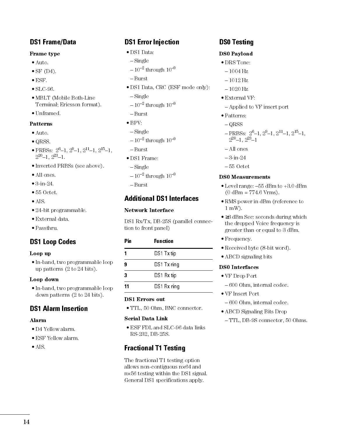## DS1 Frame/Data

### Frame type

- Auto.
- $\bullet$  SF (D4).
- $\bullet$  ESF.
- SLC-96.
- MBLT (Mobile Both-Line Terminal; Ericsson format).
- Unframed.

### Patterns

- Auto.
- QRSS.
- PRBSs:  $2^6-1$ ,  $2^9-1$ ,  $2^{11}-1$ ,  $2^{15}-1$ .  $2^{20} - 1$ ,  $2^{23} - 1$ .
- Inverted PRBSs (see above).
- All ones.
- 3-in-24.
- 55 Octet.
- AIS.
- 24-bit programmable.
- External data.
- Passthru.

## DS1 Loop Codes

#### Loop up

• In-band, two programmable loop up patterns (2 to 24 bits).

#### Loop down

• In-band, two programmable loop down patterns (2 to 24 bits).

### DS1 Alarm Insertion

### Alarm

- D4 Yellow alarm.
- ESF Yellow alarm.
- AIS.

# DS1 Error Injection

- DS1 Data:
- Single
- $-10^{-2}$  through  $10^{-9}$
- Burst
- DS1 Data, CRC (ESF mode only):
- Single
- $-10^{-2}$  through  $10^{-9}$
- Burst
- $\bullet$  BPV:
- $-Single$
- $-10^{-2}$  through  $10^{-9}$
- Burst
- DS1 Frame:
- Single
- $-10^{-2}$  through  $10^{-9}$
- Burst

# Additional DS1 Interfaces

### Network Interface

DS1 Rx/Tx, DB-25S (parallel connection to front panel)

| Pin | <b>Function</b> |  |
|-----|-----------------|--|
| 1   | DS1 Tx tip      |  |
| 9   | DS1 Tx ring     |  |
| 3   | DS1 Rx tip      |  |
| 11  | DS1 Rx ring     |  |
|     |                 |  |

### DS1 Errors out

TTL, 50 Ohm, BNC connector.

#### Serial Data Link

 ESF FDL and SLC-96 data links RS-232, DB-25S.

# Fractional T1 Testing

The fractional T1 testing option allows non-contiguous n×64 and n×56 testing within the DS1 signal. General DS1 specifications apply.

### DS0 Testing

### DS0 Payload

- DRS Tone:
	- $-1004$  Hz
	- $-1012$  Hz
- $-1020$  Hz
- External VF:
- Applied to VF insert port
- Patterns:
	- $-QRSS$
	- $-$ PRBSs:  $2^6$ -1,  $2^9$ -1,  $2^{11}$ -1,  $2^{15}$ -1,  $2^{20} - 1, 2^{23} - 1$
	- All ones
	- 3-in-24
- 55 Octet

### DS0 Measurements

- $\bullet$  Level range:  $-55$  dBm to  $+3.0$  dBm  $(0$  dBm = 774.6 Vrms).
- RMS power in dBm (reference to 1 mW).
- ≥3 dBm Sec: seconds during which the dropped Voice frequency is greater than or equal to 3 dBm.
- Frequency.
- Received byte (8-bit word).
- ABCD signaling bits

### DS0 Interfaces

- VF Drop Port
	- 600 Ohm, internal codec.
- VF Insert Port
	- 600 Ohm, internal codec.
- ABCD Signaling Bits Drop

#### TTL, DB-9S connector, 50 Ohms.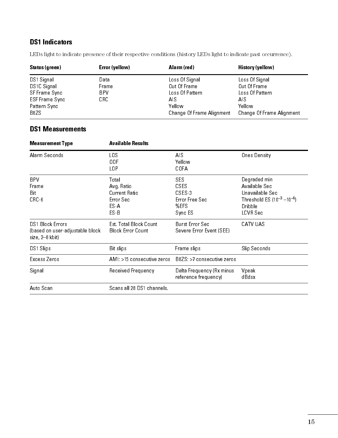# DS1 Indicators

LEDs light to indicate presence of their respective conditions (history LEDs light to indicate past occurrence).

| Status (green) | Error (yellow) | Alarm (red)               | History (yellow)          |
|----------------|----------------|---------------------------|---------------------------|
| DS1 Signal     | Data           | Loss Of Signal            | Loss Of Signal            |
| DS1C Signal    | Frame          | Out Of Frame              | Out Of Frame              |
| SF Frame Sync  | BPV.           | Loss Of Pattern           | Loss Of Pattern           |
| ESF Frame Sync | CRC.           | AIS                       | AIS                       |
| Pattern Sync   |                | Yellow                    | Yellow                    |
| B8ZS           |                | Change Of Frame Alignment | Change Of Frame Alignment |

# DS1 Measurements

| <b>Measurement Type</b>                                                       | <b>Available Results</b>                                           |                                                                          |                                                                                                               |
|-------------------------------------------------------------------------------|--------------------------------------------------------------------|--------------------------------------------------------------------------|---------------------------------------------------------------------------------------------------------------|
| Alarm Seconds                                                                 | LO S<br>00F<br>LOP                                                 | AIS<br>Yellow<br>COFA                                                    | Ones Density                                                                                                  |
| <b>BPV</b><br>Frame<br>Bit<br>$CRC-6$                                         | Total<br>Avg Ratio<br>Current Ratio<br>Error Sec<br>ES-A<br>$ES-B$ | <b>SES</b><br><b>CSES</b><br>CSES 3<br>Error Free Sec<br>%EFS<br>Sync ES | Degraded min<br>Available Sec<br>Unavailable Sec<br>Threshold ES $(10^{-3} - 10^{-6})$<br>Dribble<br>LCVR Sec |
| <b>DS1 Block Errors</b><br>(based on user-adjustable block<br>size, 2-8 kbit) | Est Total Block Count<br><b>Block Error Count</b>                  | <b>Burst Error Sec</b><br>Severe Error Event (SEE)                       | CATV UAS                                                                                                      |
| DS1 Slips                                                                     | <b>Bit slips</b>                                                   | Frame slips                                                              | Slip Seconds                                                                                                  |
| Excess Zeros                                                                  | AMI: >15 consecutive zeros                                         | $B8ZS > 7$ consecutive zeros                                             |                                                                                                               |
| Signal                                                                        | Received Frequency                                                 | Delta Frequency (Rx minus<br>reference frequency)                        | Vpeak<br>d Bd sx                                                                                              |
| Auto Scan                                                                     | Scans all 28 DS1 channels.                                         |                                                                          |                                                                                                               |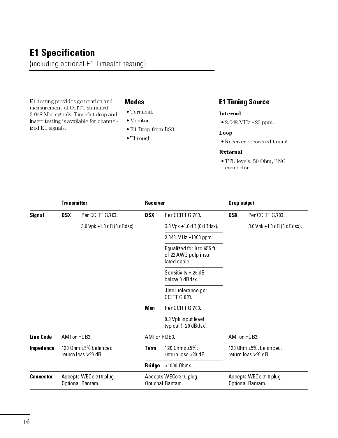# E1 Specification (including optional E1 Timeslot testing)

E1 testing provides generation and measurement of CCITT standard 2.048 Mbs signals. Timeslot drop and insert testing is available for channelized E1 signals.

### Modes

- $\bullet$  Terminal.
- Monitor.
- E1 Drop from DS3.
- Through.

## E1 Timing Source

### Internal

2.048 MHz ±20 ppm.

#### Loop

Receiver recovered timing.

#### External

 TTL levels, 50 Ohm, BNC connector.

|                  | <b>Transmitter</b> |                                                   | Receiver      |                                                                   | Drop output |                                                    |
|------------------|--------------------|---------------------------------------------------|---------------|-------------------------------------------------------------------|-------------|----------------------------------------------------|
| Signal           | <b>DSX</b>         | Per CCITT G.703.                                  | <b>DSX</b>    | Per CCITT G.703.                                                  | <b>DSX</b>  | Per CCITT G.703.                                   |
|                  |                    | $3.0$ Vpk $\pm 1.0$ dB (0 dBdsx).                 |               | $3.0$ Vpk $\pm 1.0$ dB (0 dBdsx).                                 |             | $3.0$ Vpk $\pm 1.0$ dB (0 dBdsx).                  |
|                  |                    |                                                   |               | $2.048$ MHz $\pm 1000$ ppm.                                       |             |                                                    |
|                  |                    |                                                   |               | Equalized for 0 to 655 ft<br>of 22 AWG pulp insu-<br>lated cable. |             |                                                    |
|                  |                    |                                                   |               | Sensitivity = 26 dB<br>below 0 dBdsx.                             |             |                                                    |
|                  |                    |                                                   |               | Jitter tolerance per<br>CCITT G.823                               |             |                                                    |
|                  |                    |                                                   | Mon           | Per CCITT G.703.                                                  |             |                                                    |
|                  |                    |                                                   |               | 0.3 Vpk inputlevel<br>typical (-20 dBdsx).                        |             |                                                    |
| <b>Line Code</b> | AMI or HDB3.       |                                                   | AMI or HDB3.  |                                                                   |             | AMI or HDB3.                                       |
| Impedance        |                    | 120 Ohm $\pm 5%$ balanced;<br>return loss >20 dB. | <b>Term</b>   | 120 Ohms ±5%;<br>return loss >20 dB.                              |             | 120 Ohm $\pm$ 5%, balanced;<br>return loss >20 dB. |
|                  |                    |                                                   | <b>Bridge</b> | >1000 Ohms                                                        |             |                                                    |
| <b>Connector</b> |                    | Accepts WECo 310 plug.<br>Optional Bantam         |               | Accepts WECo 310 plug.<br>Optional Bantam.                        |             | Accepts WECo 310 plug.<br>Optional Bantam.         |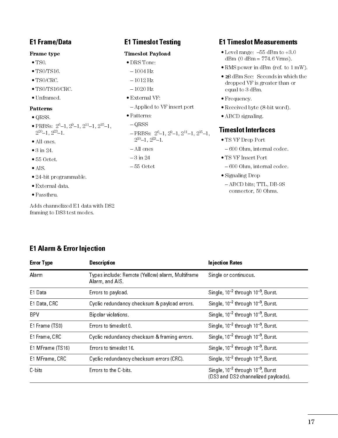# E1 Frame/Data

### Frame type

- $\bullet$  TS0.
- TS0/TS16.
- TS0/CRC.
- TS0/TS16/CRC.
- Unframed.

### Patterns

- QRSS.
- PRBSs:  $2^6-1$ ,  $2^9-1$ ,  $2^{11}-1$ ,  $2^{15}-1$ ,  $2^{20} - 1$ ,  $2^{23} - 1$ .
- All ones.
- 3 in 24.
- 55 Octet.
- AIS.
- 24-bit programmable.
- External data.
- Passthru.

Adds channelized E1 data with DS2 framing to DS3 test modes.

# E1 Timeslot Testing

### Timeslot Payload

### DRS Tone:

- $-1004$  Hz
- $-1012$  Hz
- $-1020$  Hz
- External VF:
	- Applied to VF insert port
- Patterns:
- $-QRSS$
- $-$  PRBSs:  $2^6-1$ ,  $2^9-1$ ,  $2^{11}-1$ ,  $2^{15}-1$ ,  $2^{20}-1$ ,  $2^{23}-1$ .
- All ones
- $-3$  in 24
- $-55$  Octet

# E1 Timeslot Measurements

- $\bullet$  Level range:  $-55$  dBm to  $+3.0$  $dBm (0 dBm = 774.6 Vrms).$
- RMS power in dBm (ref. to 1 mW).
- ≥3 dBm Sec: Seconds in which the dropped VF is greater than or equal to 3 dBm.
- Frequency.
- Received byte (8-bit word).
- ABCD signaling.

## Timeslot Interfaces

- TS VF Drop Port
	- 600 Ohm, internal codec.
- TS VF Insert Port
	- 600 Ohm, internal codec.
- Signaling Drop
	- ABCD bits; TTL, DB-9S connector, 50 Ohms.

| <b>Error Type</b> | <b>Description</b>                                                  | <b>Injection Rates</b>                                                             |  |
|-------------------|---------------------------------------------------------------------|------------------------------------------------------------------------------------|--|
| Alarm             | Types include: Remote (Yellow) alarm, Multiframe<br>Alarm, and AIS. | Single or continuous.                                                              |  |
| E1 Data           | Errors to payload.                                                  | Single, $10^{-2}$ through $10^{-9}$ , Burst.                                       |  |
| E1 Data, CRC      | Cyclic redundancy checksum & payload errors.                        | Single, $10^{-2}$ through $10^{-9}$ , Burst                                        |  |
| <b>BPV</b>        | Bipolar violations.                                                 | Single, $10^{-2}$ through $10^{-9}$ , Burst                                        |  |
| E1 Frame (TS0)    | Errors to timeslot0                                                 | Single, $10^{-2}$ through $10^{-9}$ , Burst.                                       |  |
| E1 Frame, CRC     | Cyclic redundancy checksum & framing errors.                        | Single, $10^{-2}$ through $10^{-9}$ , Burst.                                       |  |
| E1 MFrame (TS16)  | Errors to times ot 16                                               | Single, $10^{-2}$ through $10^{-9}$ , Burst                                        |  |
| E1 MFrame, CRC    | Cyclic redundancy checksum errors (CRC).                            | Single, $10^{-2}$ through $10^{-9}$ , Burst                                        |  |
| $C$ bits          | Errors to the C-bits.                                               | Single, $10^{-2}$ through $10^{-9}$ , Burst<br>(DS3 and DS2 channelized payloads). |  |

# E1 Alarm & Error Injection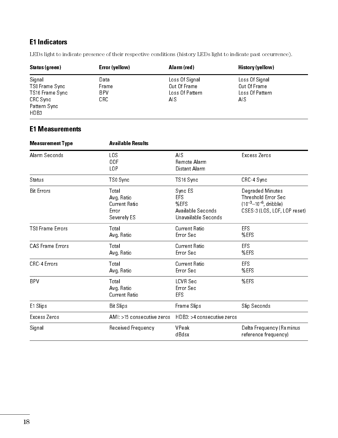# E1 Indicators

LEDs light to indicate presence of their respective conditions (history LEDs light to indicate past occurrence).

| Status (green)  | Error (yellow) | Alarm (red)     | History (yellow) |  |
|-----------------|----------------|-----------------|------------------|--|
| Signal          | Data           | Loss Of Signal  | Loss Of Signal   |  |
| TSO Frame Sync  | Frame          | Out Of Frame    | Out Of Frame     |  |
| TS16 Frame Sync | BPV.           | Loss Of Pattern | Loss Of Pattern  |  |
| CRC Sync        | CRC.           | AIS.            | AIS.             |  |
| Pattern Sync    |                |                 |                  |  |
| HD B3           |                |                 |                  |  |

### E1 Measurements

| <b>Measurement Type</b> | <b>Available Results</b>                                    |                                                                           |                                                                                                         |
|-------------------------|-------------------------------------------------------------|---------------------------------------------------------------------------|---------------------------------------------------------------------------------------------------------|
| Alarm Seconds           | LOS<br>00F<br>L <sub>0</sub> P                              | AIS<br>Remote Alarm<br>Distant Alarm                                      | Excess Zeros                                                                                            |
| Status                  | TSO Sync                                                    | TS16 Sync                                                                 | CRC-4 Sync                                                                                              |
| <b>Bit Errors</b>       | Total<br>Avg Ratio<br>Current Ratio<br>Error<br>Severely ES | Sync ES<br><b>EFS</b><br>%EFS<br>Available Seconds<br>Unavailable Seconds | Degraded Minutes<br>Threshold Error Sec<br>$(10^{-3}-10^{-6},$ dribble)<br>CSES-3 (LOS, LOF, LOP reset) |
| <b>TSO Frame Errors</b> | Total<br>Avg Ratio                                          | Current Ratio<br>Error Sec                                                | EFS<br>%EFS                                                                                             |
| <b>CAS Frame Errors</b> | Total<br>Avg Ratio                                          | Current Ratio<br>Error Sec                                                | <b>EFS</b><br>%EFS                                                                                      |
| CRC-4 Errors            | Total<br>Avg Ratio                                          | Current Ratio<br>Error Sec                                                | <b>EFS</b><br>%EFS                                                                                      |
| <b>BPV</b>              | Total<br>Avg Ratio<br>Current Ratio                         | <b>LCVR Sec</b><br>Error Sec<br><b>EFS</b>                                | %EFS                                                                                                    |
| E1 Slips                | <b>Bit Slips</b>                                            | Frame Slips                                                               | Slip Seconds                                                                                            |
| Excess Zeros            | AMI: >15 consecutive zeros                                  | HDB3: >4 consecutive zeros                                                |                                                                                                         |
| Signal                  | Received Frequency                                          | VPeak<br>dBdsx                                                            | Delta Frequency (Rx minus<br>reference frequency)                                                       |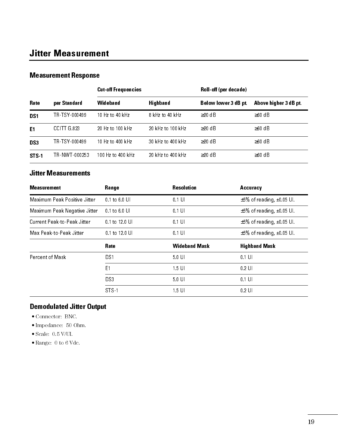# Jitter Measurement

## Measurement Response

|                  |               | <b>Cut-off Frequencies</b> |                   | Roll off (per decade) |                      |
|------------------|---------------|----------------------------|-------------------|-----------------------|----------------------|
| <b>Rate</b>      | per Standard  | Wideband                   | Highband          | Below lower 3 dB pt   | Above higher 3 dB pt |
| DS <sub>1</sub>  | TR-TSY-000499 | $10$ Hz to $40$ kHz        | 8 kHz to 40 kHz   | $>20$ dB              | $\geq 60$ d B        |
| E <sub>1</sub>   | CCITTG.823    | 20 Hz to 100 kHz           | 20 kHz to 100 kHz | $\geq$ 20 dB          | $\geq 60$ dB         |
| DS3              | TR TSY 000499 | 10 Hz to $400 \;$ kHz      | 30 kHz to 400 kHz | $>20 \text{ dB}$      | $\geq 60$ dB         |
| STS <sub>1</sub> | TR-NWT-000253 | 100 Hz to 400 kHz          | 20 kHz to 400 kHz | $\geq$ 20 dB          | $\geq 60$ dB         |

### Jitter Measurements

| <b>Measurement</b>           | Range             | <b>Resolution</b>    | Accuracy                             |
|------------------------------|-------------------|----------------------|--------------------------------------|
| Maximum Peak Positive Jitter | $0.1$ to $6.0$ UI | $0.1$ U              | $\pm 5\%$ of reading, $\pm 0.05$ UI. |
| Maximum Peak Negative Jitter | $0.1$ to $6.0$ UI | $0.1$ UI             | $\pm$ 5% of reading, $\pm$ 0.05 UI.  |
| Current Peak-to-Peak Jitter  | 0.1 to 12.0 UI    | $0.1$ U              | $\pm$ 5% of reading, $\pm$ 0.05 UI.  |
| Max Peak-to-Peak Jitter      | 0.1 to 12.0 UI    | $0.1$ U              | $\pm 5\%$ of reading, $\pm 0.05$ UI. |
|                              |                   |                      |                                      |
|                              | Rate              | <b>Wideband Mask</b> | <b>Highband Mask</b>                 |
| <b>Percent of Mask</b>       | DS1               | $5.0$ U              | $0.1$ UI                             |
|                              | E1                | $1.5$ U              | $0.2$ UI                             |
|                              | DS3               | $5.0$ U              | $0.1$ UI                             |

# Demodulated Jitter Output

- Connector: BNC.
- $\bullet$  Impedance: 50 Ohm.
- $\bullet$  Scale:  $0.5$  V/UI.
- Range: 0 to 6 Vdc.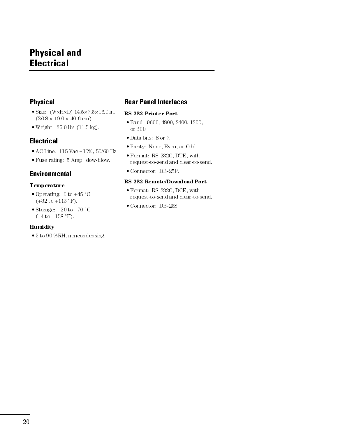# Physical and Electrical

### Physical

- $\bullet$  Size: (W $\times$ H $\times$ D) 14.5 $\times$ 7.5 $\times$ 16.0 in.  $(36.8 \times 19.0 \times 40.6 \text{ cm})$ .
- Weight: 25.0 lbs (11.5 kg).

### **Electrical**

- AC Line: 115 Vac ±10%, 50/60 Hz
- Fuse rating: 5 Amp, slow-blow.

### Environmental

### Temperature

- Operating: 0 to  $+45$  °C  $(+32 \text{ to } +113 \text{ °F}).$
- Storage:  $-20$  to  $+70$  °C  $(-4 \text{ to } +158 \text{ °F}).$

### **Humidity**

5 to 90 %RH, noncondensing.

## Rear Panel Interfaces

#### RS-232 Printer Port

- Baud: 9600, 4800, 2400, 1200, or 300.
- Data bits: 8 or 7.
- Parity: None, Even, or Odd.
- Format: RS-232C, DTE, with request-to-send and clear-to-send.
- Connector: DB-25P.

### RS-232 Remote/Download Port

- Format: RS-232C, DCE, with request-to-send and clear-to-send.
- Connector: DB-25S.